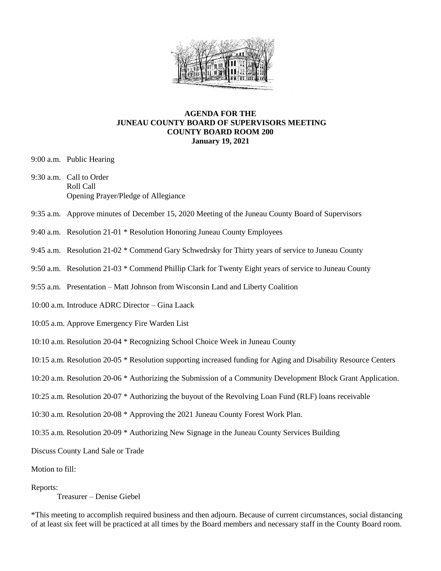

## **AGENDA FOR THE JUNEAU COUNTY BOARD OF SUPERVISORS MEETING COUNTY BOARD ROOM 200 January 19, 2021**

- 9:00 a.m. Public Hearing
- 9:30 a.m. Call to Order Roll Call Opening Prayer/Pledge of Allegiance
- 9:35 a.m. Approve minutes of December 15, 2020 Meeting of the Juneau County Board of Supervisors
- 9:40 a.m. Resolution 21-01 \* Resolution Honoring Juneau County Employees
- 9:45 a.m. Resolution 21-02 \* Commend Gary Schwedrsky for Thirty years of service to Juneau County
- 9:50 a.m. Resolution 21-03 \* Commend Phillip Clark for Twenty Eight years of service to Juneau County
- 9:55 a.m. Presentation Matt Johnson from Wisconsin Land and Liberty Coalition
- 10:00 a.m. Introduce ADRC Director Gina Laack
- 10:05 a.m. Approve Emergency Fire Warden List
- 10:10 a.m. Resolution 20-04 \* Recognizing School Choice Week in Juneau County
- 10:15 a.m. Resolution 20-05 \* Resolution supporting increased funding for Aging and Disability Resource Centers
- 10:20 a.m. Resolution 20-06 \* Authorizing the Submission of a Community Development Block Grant Application.
- 10:25 a.m. Resolution 20-07 \* Authorizing the buyout of the Revolving Loan Fund (RLF) loans receivable
- 10:30 a.m. Resolution 20-08 \* Approving the 2021 Juneau County Forest Work Plan.
- 10:35 a.m. Resolution 20-09 \* Authorizing New Signage in the Juneau County Services Building

Discuss County Land Sale or Trade

Motion to fill:

## Reports:

Treasurer – Denise Giebel

\*This meeting to accomplish required business and then adjourn. Because of current circumstances, social distancing of at least six feet will be practiced at all times by the Board members and necessary staff in the County Board room.